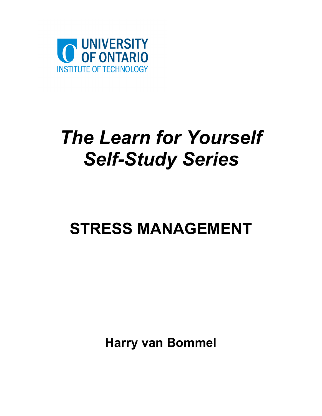

# *The Learn for Yourself Self-Study Series*

# **STRESS MANAGEMENT**

**Harry van Bommel**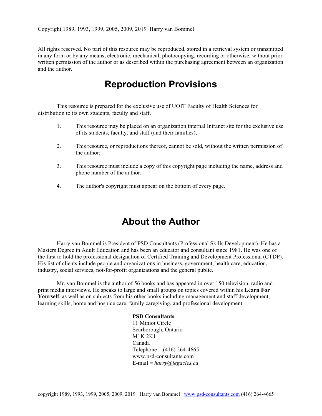All rights reserved. No part of this resource may be reproduced, stored in a retrieval system or transmitted in any form or by any means, electronic, mechanical, photocopying, recording or otherwise, without prior written permission of the author or as described within the purchasing agreement between an organization and the author.

#### **Reproduction Provisions**

This resource is prepared for the exclusive use of UOIT Faculty of Health Sciences for distribution to its own students, faculty and staff.

- 1. This resource may be placed on an organization internal Intranet site for the exclusive use of its students, faculty, and staff (and their families),
- 2. This resource, or reproductions thereof, cannot be sold, without the written permission of the author;
- 3. This resource must include a copy of this copyright page including the name, address and phone number of the author.
- 4. The author's copyright must appear on the bottom of every page.

#### **About the Author**

Harry van Bommel is President of PSD Consultants (Professional Skills Development). He has a Masters Degree in Adult Education and has been an educator and consultant since 1981. He was one of the first to hold the professional designation of Certified Training and Development Professional (CTDP). His list of clients include people and organizations in business, government, health care, education, industry, social services, not-for-profit organi*z*ations and the general public.

Mr. van Bommel is the author of 56 books and has appeared in over 150 television, radio and print media interviews. He speaks to large and small groups on topics covered within his **Learn For Yourself**, as well as on subjects from his other books including management and staff development, learning skills, home and hospice care, family caregiving, and professional development.

> **PSD Consultants** 11 Miniot Circle Scarborough, Ontario M1K 2K1 Canada Telephone =  $(416)$  264-4665 www.psd-consultants.com E-mail = *harry@legacies.ca*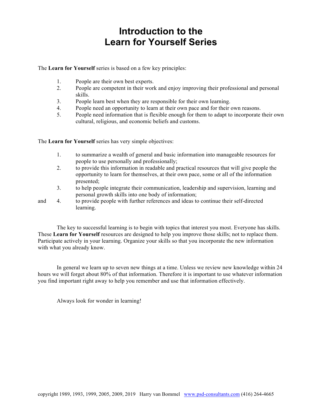# **Introduction to the Learn for Yourself Series**

The **Learn for Yourself** series is based on a few key principles:

- 1. People are their own best experts.
- 2. People are competent in their work and enjoy improving their professional and personal skills.
- 3. People learn best when they are responsible for their own learning.
- 4. People need an opportunity to learn at their own pace and for their own reasons.
- 5. People need information that is flexible enough for them to adapt to incorporate their own cultural, religious, and economic beliefs and customs.

The **Learn for Yourself** series has very simple objectives:

- 1. to summarize a wealth of general and basic information into manageable resources for people to use personally and professionally;
- 2. to provide this information in readable and practical resources that will give people the opportunity to learn for themselves, at their own pace, some or all of the information presented;
- 3. to help people integrate their communication, leadership and supervision, learning and personal growth skills into one body of information;
- and 4. to provide people with further references and ideas to continue their self-directed learning.

The key to successful learning is to begin with topics that interest you most. Everyone has skills. These **Learn for Yourself** resources are designed to help you improve those skills; not to replace them. Participate actively in your learning. Organize your skills so that you incorporate the new information with what you already know.

In general we learn up to seven new things at a time. Unless we review new knowledge within 24 hours we will forget about 80% of that information. Therefore it is important to use whatever information you find important right away to help you remember and use that information effectively.

Always look for wonder in learning!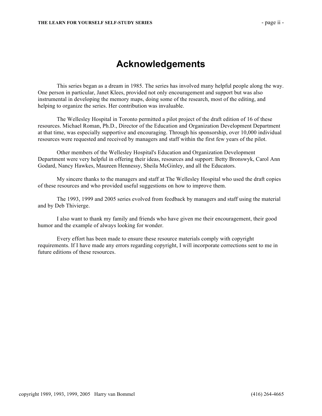## **Acknowledgements**

This series began as a dream in 1985. The series has involved many helpful people along the way. One person in particular, Janet Klees, provided not only encouragement and support but was also instrumental in developing the memory maps, doing some of the research, most of the editing, and helping to organize the series. Her contribution was invaluable.

The Wellesley Hospital in Toronto permitted a pilot project of the draft edition of 16 of these resources. Michael Roman, Ph.D., Director of the Education and Organization Development Department at that time, was especially supportive and encouraging. Through his sponsorship, over 10,000 individual resources were requested and received by managers and staff within the first few years of the pilot.

Other members of the Wellesley Hospital's Education and Organization Development Department were very helpful in offering their ideas, resources and support: Betty Bronswyk, Carol Ann Godard, Nancy Hawkes, Maureen Hennessy, Sheila McGinley, and all the Educators.

My sincere thanks to the managers and staff at The Wellesley Hospital who used the draft copies of these resources and who provided useful suggestions on how to improve them.

The 1993, 1999 and 2005 series evolved from feedback by managers and staff using the material and by Deb Thivierge.

I also want to thank my family and friends who have given me their encouragement, their good humor and the example of always looking for wonder.

Every effort has been made to ensure these resource materials comply with copyright requirements. If I have made any errors regarding copyright, I will incorporate corrections sent to me in future editions of these resources.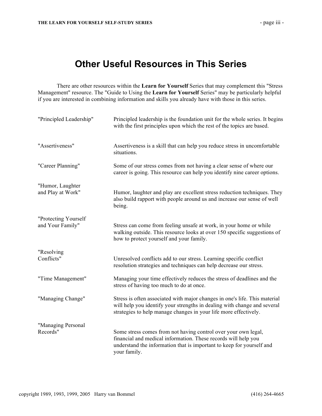## **Other Useful Resources in This Series**

There are other resources within the **Learn for Yourself** Series that may complement this "Stress Management" resource. The "Guide to Using the **Learn for Yourself** Series" may be particularly helpful if you are interested in combining information and skills you already have with those in this series.

| "Principled Leadership"                  | Principled leadership is the foundation unit for the whole series. It begins<br>with the first principles upon which the rest of the topics are based.                                                                     |
|------------------------------------------|----------------------------------------------------------------------------------------------------------------------------------------------------------------------------------------------------------------------------|
| "Assertiveness"                          | Assertiveness is a skill that can help you reduce stress in uncomfortable<br>situations.                                                                                                                                   |
| "Career Planning"                        | Some of our stress comes from not having a clear sense of where our<br>career is going. This resource can help you identify nine career options.                                                                           |
| "Humor, Laughter<br>and Play at Work"    | Humor, laughter and play are excellent stress reduction techniques. They<br>also build rapport with people around us and increase our sense of well<br>being.                                                              |
| "Protecting Yourself<br>and Your Family" | Stress can come from feeling unsafe at work, in your home or while<br>walking outside. This resource looks at over 150 specific suggestions of<br>how to protect yourself and your family.                                 |
| "Resolving<br>Conflicts"                 | Unresolved conflicts add to our stress. Learning specific conflict<br>resolution strategies and techniques can help decrease our stress.                                                                                   |
| "Time Management"                        | Managing your time effectively reduces the stress of deadlines and the<br>stress of having too much to do at once.                                                                                                         |
| "Managing Change"                        | Stress is often associated with major changes in one's life. This material<br>will help you identify your strengths in dealing with change and several<br>strategies to help manage changes in your life more effectively. |
| "Managing Personal<br>Records"           | Some stress comes from not having control over your own legal,<br>financial and medical information. These records will help you<br>understand the information that is important to keep for yourself and<br>your family.  |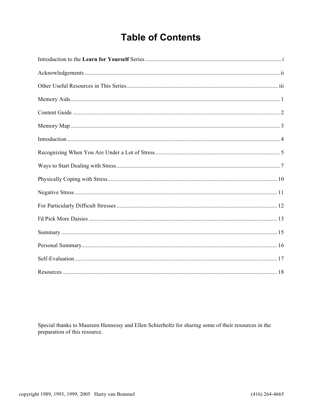# **Table of Contents**

Special thanks to Maureen Hennessy and Ellen Schierholtz for sharing some of their resources in the preparation of this resource.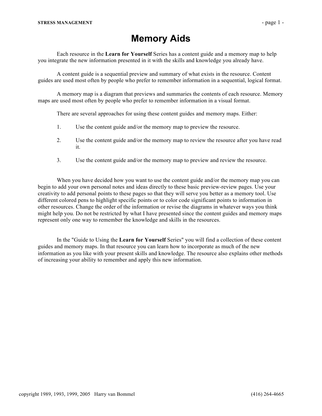Each resource in the **Learn for Yourself** Series has a content guide and a memory map to help you integrate the new information presented in it with the skills and knowledge you already have.

A content guide is a sequential preview and summary of what exists in the resource. Content guides are used most often by people who prefer to remember information in a sequential, logical format.

A memory map is a diagram that previews and summaries the contents of each resource. Memory maps are used most often by people who prefer to remember information in a visual format.

There are several approaches for using these content guides and memory maps. Either:

- 1. Use the content guide and/or the memory map to preview the resource.
- 2. Use the content guide and/or the memory map to review the resource after you have read it.
- 3. Use the content guide and/or the memory map to preview and review the resource.

When you have decided how you want to use the content guide and/or the memory map you can begin to add your own personal notes and ideas directly to these basic preview-review pages. Use your creativity to add personal points to these pages so that they will serve you better as a memory tool. Use different colored pens to highlight specific points or to color code significant points to information in other resources. Change the order of the information or revise the diagrams in whatever ways you think might help you. Do not be restricted by what I have presented since the content guides and memory maps represent only one way to remember the knowledge and skills in the resources.

In the "Guide to Using the **Learn for Yourself** Series" you will find a collection of these content guides and memory maps. In that resource you can learn how to incorporate as much of the new information as you like with your present skills and knowledge. The resource also explains other methods of increasing your ability to remember and apply this new information.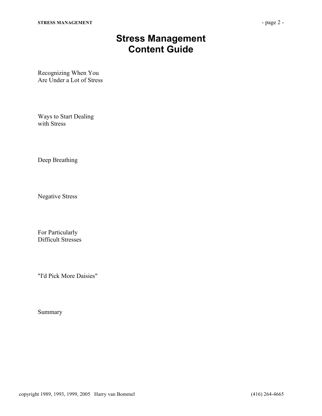## **Stress Management Content Guide**

Recognizing When You Are Under a Lot of Stress

Ways to Start Dealing with Stress

Deep Breathing

Negative Stress

For Particularly Difficult Stresses

"I'd Pick More Daisies"

Summary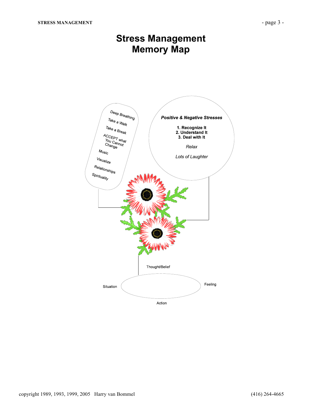## **Stress Management Memory Map**

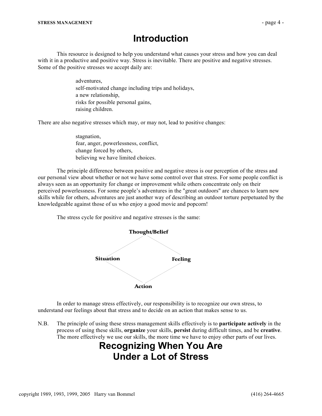#### **Introduction**

This resource is designed to help you understand what causes your stress and how you can deal with it in a productive and positive way. Stress is inevitable. There are positive and negative stresses. Some of the positive stresses we accept daily are:

> adventures, self-motivated change including trips and holidays, a new relationship, risks for possible personal gains, raising children.

There are also negative stresses which may, or may not, lead to positive changes:

 stagnation, fear, anger, powerlessness, conflict, change forced by others, believing we have limited choices.

The principle difference between positive and negative stress is our perception of the stress and our personal view about whether or not we have some control over that stress. For some people conflict is always seen as an opportunity for change or improvement while others concentrate only on their perceived powerlessness. For some people's adventures in the "great outdoors" are chances to learn new skills while for others, adventures are just another way of describing an outdoor torture perpetuated by the knowledgeable against those of us who enjoy a good movie and popcorn!

The stress cycle for positive and negative stresses is the same:



In order to manage stress effectively, our responsibility is to recognize our own stress, to understand our feelings about that stress and to decide on an action that makes sense to us.

N.B. The principle of using these stress management skills effectively is to **participate actively** in the process of using these skills, **organize** your skills, **persist** during difficult times, and be **creative**. The more effectively we use our skills, the more time we have to enjoy other parts of our lives.

## **Recognizing When You Are Under a Lot of Stress**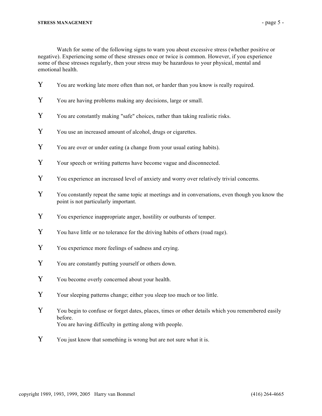Watch for some of the following signs to warn you about excessive stress (whether positive or negative). Experiencing some of these stresses once or twice is common. However, if you experience some of these stresses regularly, then your stress may be hazardous to your physical, mental and emotional health.

- Y You are working late more often than not, or harder than you know is really required.
- Y You are having problems making any decisions, large or small.
- Y You are constantly making "safe" choices, rather than taking realistic risks.
- Y You use an increased amount of alcohol, drugs or cigarettes.
- Y You are over or under eating (a change from your usual eating habits).
- Y Your speech or writing patterns have become vague and disconnected.
- Y You experience an increased level of anxiety and worry over relatively trivial concerns.
- Y You constantly repeat the same topic at meetings and in conversations, even though you know the point is not particularly important.
- Y You experience inappropriate anger, hostility or outbursts of temper.
- Y You have little or no tolerance for the driving habits of others (road rage).
- Y You experience more feelings of sadness and crying.
- Y You are constantly putting yourself or others down.
- Y You become overly concerned about your health.
- Y Your sleeping patterns change; either you sleep too much or too little.
- Y You begin to confuse or forget dates, places, times or other details which you remembered easily before. You are having difficulty in getting along with people.
- Y You just know that something is wrong but are not sure what it is.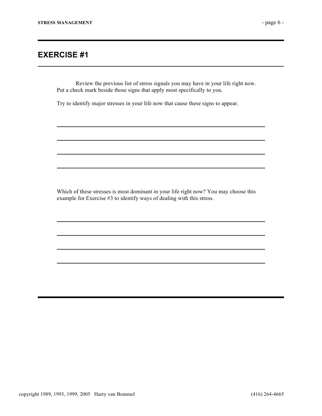#### **EXERCISE #1**

Review the previous list of stress signals you may have in your life right now. Put a check mark beside those signs that apply most specifically to you.

Try to identify major stresses in your life now that cause these signs to appear.

Which of these stresses is most dominant in your life right now? You may choose this example for Exercise #3 to identify ways of dealing with this stress.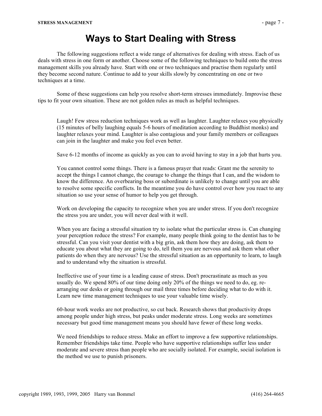#### **Ways to Start Dealing with Stress**

The following suggestions reflect a wide range of alternatives for dealing with stress. Each of us deals with stress in one form or another. Choose some of the following techniques to build onto the stress management skills you already have. Start with one or two techniques and practise them regularly until they become second nature. Continue to add to your skills slowly by concentrating on one or two techniques at a time.

Some of these suggestions can help you resolve short-term stresses immediately. Improvise these tips to fit your own situation. These are not golden rules as much as helpful techniques.

 Laugh! Few stress reduction techniques work as well as laughter. Laughter relaxes you physically (15 minutes of belly laughing equals 5-6 hours of meditation according to Buddhist monks) and laughter relaxes your mind. Laughter is also contagious and your family members or colleagues can join in the laughter and make you feel even better.

Save 6-12 months of income as quickly as you can to avoid having to stay in a job that hurts you.

 You cannot control some things. There is a famous prayer that reads: Grant me the serenity to accept the things I cannot change, the courage to change the things that I can, and the wisdom to know the difference. An overbearing boss or subordinate is unlikely to change until you are able to resolve some specific conflicts. In the meantime you do have control over how you react to any situation so use your sense of humor to help you get through.

Work on developing the capacity to recognize when you are under stress. If you don't recognize the stress you are under, you will never deal with it well.

When you are facing a stressful situation try to isolate what the particular stress is. Can changing your perception reduce the stress? For example, many people think going to the dentist has to be stressful. Can you visit your dentist with a big grin, ask them how they are doing, ask them to educate you about what they are going to do, tell them you are nervous and ask them what other patients do when they are nervous? Use the stressful situation as an opportunity to learn, to laugh and to understand why the situation is stressful.

 Ineffective use of your time is a leading cause of stress. Don't procrastinate as much as you usually do. We spend 80% of our time doing only 20% of the things we need to do, eg. rearranging our desks or going through our mail three times before deciding what to do with it. Learn new time management techniques to use your valuable time wisely.

 60-hour work weeks are not productive, so cut back. Research shows that productivity drops among people under high stress, but peaks under moderate stress. Long weeks are sometimes necessary but good time management means you should have fewer of these long weeks.

 We need friendships to reduce stress. Make an effort to improve a few supportive relationships. Remember friendships take time. People who have supportive relationships suffer less under moderate and severe stress than people who are socially isolated. For example, social isolation is the method we use to punish prisoners.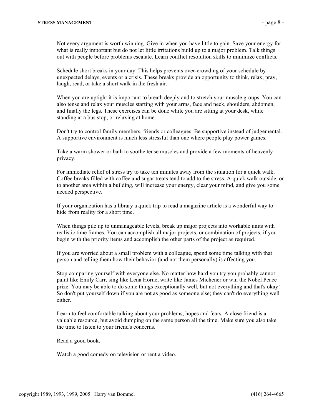Not every argument is worth winning. Give in when you have little to gain. Save your energy for what is really important but do not let little irritations build up to a major problem. Talk things out with people before problems escalate. Learn conflict resolution skills to minimize conflicts.

 Schedule short breaks in your day. This helps prevents over-crowding of your schedule by unexpected delays, events or a crisis. These breaks provide an opportunity to think, relax, pray, laugh, read, or take a short walk in the fresh air.

When you are uptight it is important to breath deeply and to stretch your muscle groups. You can also tense and relax your muscles starting with your arms, face and neck, shoulders, abdomen, and finally the legs. These exercises can be done while you are sitting at your desk, while standing at a bus stop, or relaxing at home.

 Don't try to control family members, friends or colleagues. Be supportive instead of judgemental. A supportive environment is much less stressful than one where people play power games.

 Take a warm shower or bath to soothe tense muscles and provide a few moments of heavenly privacy.

 For immediate relief of stress try to take ten minutes away from the situation for a quick walk. Coffee breaks filled with coffee and sugar treats tend to add to the stress. A quick walk outside, or to another area within a building, will increase your energy, clear your mind, and give you some needed perspective.

 If your organization has a library a quick trip to read a magazine article is a wonderful way to hide from reality for a short time.

 When things pile up to unmanageable levels, break up major projects into workable units with realistic time frames. You can accomplish all major projects, or combination of projects, if you begin with the priority items and accomplish the other parts of the project as required.

 If you are worried about a small problem with a colleague, spend some time talking with that person and telling them how their behavior (and not them personally) is affecting you.

 Stop comparing yourself with everyone else. No matter how hard you try you probably cannot paint like Emily Carr, sing like Lena Horne, write like James Michener or win the Nobel Peace prize. You may be able to do some things exceptionally well, but not everything and that's okay! So don't put yourself down if you are not as good as someone else; they can't do everything well either.

 Learn to feel comfortable talking about your problems, hopes and fears. A close friend is a valuable resource, but avoid dumping on the same person all the time. Make sure you also take the time to listen to your friend's concerns.

Read a good book.

Watch a good comedy on television or rent a video.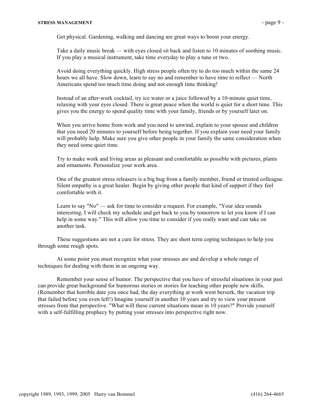Get physical. Gardening, walking and dancing are great ways to boost your energy.

 Take a daily music break — with eyes closed sit back and listen to 10 minutes of soothing music. If you play a musical instrument, take time everyday to play a tune or two.

 Avoid doing everything quickly. High stress people often try to do too much within the same 24 hours we all have. Slow down, learn to say no and remember to have time to reflect — North Americans spend too much time doing and not enough time thinking!

 Instead of an after-work cocktail, try ice water or a juice followed by a 10-minute quiet time, relaxing with your eyes closed. There is great peace when the world is quiet for a short time. This gives you the energy to spend quality time with your family, friends or by yourself later on.

When you arrive home from work and you need to unwind, explain to your spouse and children that you need 20 minutes to yourself before being together. If you explain your need your family will probably help. Make sure you give other people in your family the same consideration when they need some quiet time.

 Try to make work and living areas as pleasant and comfortable as possible with pictures, plants and ornaments. Personalize your work area.

 One of the greatest stress releasers is a big hug from a family member, friend or trusted colleague. Silent empathy is a great healer. Begin by giving other people that kind of support if they feel comfortable with it.

Learn to say "No" — ask for time to consider a request. For example, "Your idea sounds" interesting. I will check my schedule and get back to you by tomorrow to let you know if I can help in some way." This will allow you time to consider if you really want and can take on another task.

These suggestions are not a cure for stress. They are short term coping techniques to help you through some rough spots.

At some point you must recognize what your stresses are and develop a whole range of techniques for dealing with them in an ongoing way.

Remember your sense of humor. The perspective that you have of stressful situations in your past can provide great background for humorous stories or stories for teaching other people new skills. (Remember that horrible date you once had, the day everything at work went berserk, the vacation trip that failed before you even left!) Imagine yourself in another 10 years and try to view your present stresses from that perspective. "What will these current situations mean in 10 years?" Provide yourself with a self-fulfilling prophecy by putting your stresses into perspective right now.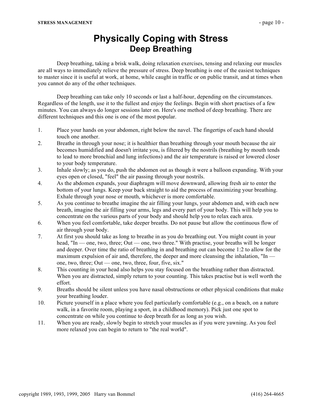#### **Physically Coping with Stress Deep Breathing**

Deep breathing, taking a brisk walk, doing relaxation exercises, tensing and relaxing our muscles are all ways to immediately relieve the pressure of stress. Deep breathing is one of the easiest techniques to master since it is useful at work, at home, while caught in traffic or on public transit, and at times when you cannot do any of the other techniques.

Deep breathing can take only 10 seconds or last a half-hour, depending on the circumstances. Regardless of the length, use it to the fullest and enjoy the feelings. Begin with short practises of a few minutes. You can always do longer sessions later on. Here's one method of deep breathing. There are different techniques and this one is one of the most popular.

- 1. Place your hands on your abdomen, right below the navel. The fingertips of each hand should touch one another.
- 2. Breathe in through your nose; it is healthier than breathing through your mouth because the air becomes humidified and doesn't irritate you, is filtered by the nostrils (breathing by mouth tends to lead to more bronchial and lung infections) and the air temperature is raised or lowered closer to your body temperature.
- 3. Inhale slowly; as you do, push the abdomen out as though it were a balloon expanding. With your eyes open or closed, "feel" the air passing through your nostrils.
- 4. As the abdomen expands, your diaphragm will move downward, allowing fresh air to enter the bottom of your lungs. Keep your back straight to aid the process of maximizing your breathing. Exhale through your nose or mouth, whichever is more comfortable.
- 5. As you continue to breathe imagine the air filling your lungs, your abdomen and, with each new breath, imagine the air filling your arms, legs and every part of your body. This will help you to concentrate on the various parts of your body and should help you to relax each area.
- 6. When you feel comfortable, take deeper breaths. Do not pause but allow the continuous flow of air through your body.
- 7. At first you should take as long to breathe in as you do breathing out. You might count in your head, "In — one, two, three; Out — one, two three." With practise, your breaths will be longer and deeper. Over time the ratio of breathing in and breathing out can become 1:2 to allow for the maximum expulsion of air and, therefore, the deeper and more cleansing the inhalation, "In one, two, three; Out — one, two, three, four, five, six."
- 8. This counting in your head also helps you stay focused on the breathing rather than distracted. When you are distracted, simply return to your counting. This takes practise but is well worth the effort.
- 9. Breaths should be silent unless you have nasal obstructions or other physical conditions that make your breathing louder.
- 10. Picture yourself in a place where you feel particularly comfortable (e.g., on a beach, on a nature walk, in a favorite room, playing a sport, in a childhood memory). Pick just one spot to concentrate on while you continue to deep breath for as long as you wish.
- 11. When you are ready, slowly begin to stretch your muscles as if you were yawning. As you feel more relaxed you can begin to return to "the real world".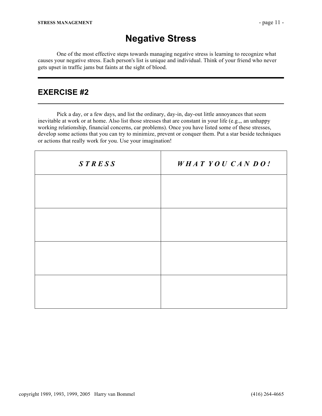### **Negative Stress**

One of the most effective steps towards managing negative stress is learning to recognize what causes your negative stress. Each person's list is unique and individual. Think of your friend who never gets upset in traffic jams but faints at the sight of blood.

#### **EXERCISE #2**

Pick a day, or a few days, and list the ordinary, day-in, day-out little annoyances that seem inevitable at work or at home. Also list those stresses that are constant in your life (e.g.,, an unhappy working relationship, financial concerns, car problems). Once you have listed some of these stresses, develop some actions that you can try to minimize, prevent or conquer them. Put a star beside techniques or actions that really work for you. Use your imagination!

| <b>STRESS</b> | WHAT YOU CANDO! |
|---------------|-----------------|
|               |                 |
|               |                 |
|               |                 |
|               |                 |
|               |                 |
|               |                 |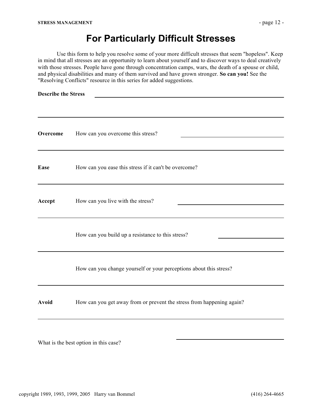## **For Particularly Difficult Stresses**

Use this form to help you resolve some of your more difficult stresses that seem "hopeless". Keep in mind that all stresses are an opportunity to learn about yourself and to discover ways to deal creatively with those stresses. People have gone through concentration camps, wars, the death of a spouse or child, and physical disabilities and many of them survived and have grown stronger. **So can you!** See the "Resolving Conflicts" resource in this series for added suggestions.

| <b>Describe the Stress</b> |                                                                       |  |
|----------------------------|-----------------------------------------------------------------------|--|
| Overcome                   | How can you overcome this stress?                                     |  |
| Ease                       | How can you ease this stress if it can't be overcome?                 |  |
| Accept                     | How can you live with the stress?                                     |  |
|                            | How can you build up a resistance to this stress?                     |  |
|                            | How can you change yourself or your perceptions about this stress?    |  |
| Avoid                      | How can you get away from or prevent the stress from happening again? |  |
|                            |                                                                       |  |

What is the best option in this case?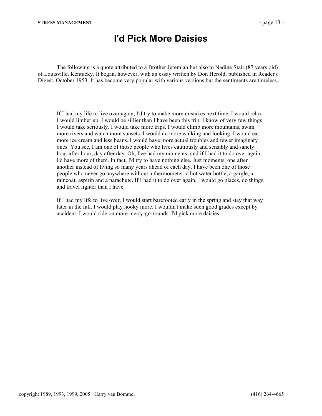### **I'd Pick More Daisies**

The following is a quote attributed to a Brother Jeremiah but also to Nadine Stair (87 years old) of Louisville, Kentucky. It began, however, with an essay written by Don Herold, published in Reader's Digest, October 1953. It has become very popular with various versions but the sentiments are timeless.

If I had my life to live over again, I'd try to make more mistakes next time. I would relax. I would limber up. I would be sillier than I have been this trip. I know of very few things I would take seriously. I would take more trips. I would climb more mountains, swim more rivers and watch more sunsets. I would do more walking and looking. I would eat more ice cream and less beans. I would have more actual troubles and fewer imaginary ones. You see, I am one of those people who lives cautiously and sensibly and sanely hour after hour, day after day. Oh, I've had my moments; and if I had it to do over again, I'd have more of them. In fact, I'd try to have nothing else. Just moments, one after another instead of living so many years ahead of each day. I have been one of those people who never go anywhere without a thermometer, a hot water bottle, a gargle, a raincoat, aspirin and a parachute. If I had it to do over again, I would go places, do things, and travel lighter than I have.

If I had my life to live over, I would start barefooted early in the spring and stay that way later in the fall. I would play hooky more. I wouldn't make such good grades except by accident. I would ride on more merry-go-rounds. I'd pick more daisies.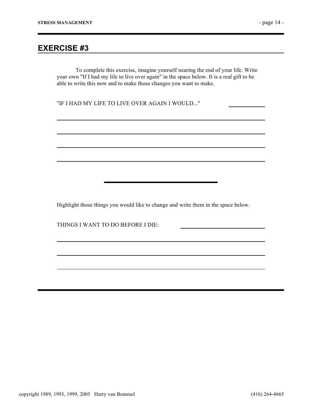#### **EXERCISE #3**

To complete this exercise, imagine yourself nearing the end of your life. Write your own "If I had my life to live over again" in the space below. It is a real gift to be able to write this now and to make those changes you want to make.

"IF I HAD MY LIFE TO LIVE OVER AGAIN I WOULD..."

Highlight those things you would like to change and write them in the space below.

THINGS I WANT TO DO BEFORE I DIE: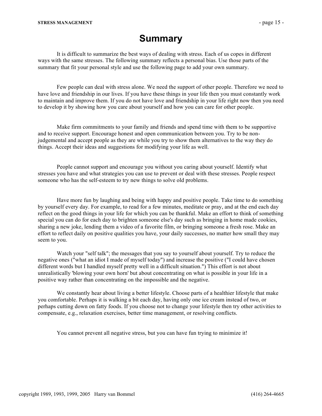## **Summary**

It is difficult to summarize the best ways of dealing with stress. Each of us copes in different ways with the same stresses. The following summary reflects a personal bias. Use those parts of the summary that fit your personal style and use the following page to add your own summary.

Few people can deal with stress alone. We need the support of other people. Therefore we need to have love and friendship in our lives. If you have these things in your life then you must constantly work to maintain and improve them. If you do not have love and friendship in your life right now then you need to develop it by showing how you care about yourself and how you can care for other people.

Make firm commitments to your family and friends and spend time with them to be supportive and to receive support. Encourage honest and open communication between you. Try to be nonjudgemental and accept people as they are while you try to show them alternatives to the way they do things. Accept their ideas and suggestions for modifying your life as well.

People cannot support and encourage you without you caring about yourself. Identify what stresses you have and what strategies you can use to prevent or deal with these stresses. People respect someone who has the self-esteem to try new things to solve old problems.

Have more fun by laughing and being with happy and positive people. Take time to do something by yourself every day. For example, to read for a few minutes, meditate or pray, and at the end each day reflect on the good things in your life for which you can be thankful. Make an effort to think of something special you can do for each day to brighten someone else's day such as bringing in home made cookies, sharing a new joke, lending them a video of a favorite film, or bringing someone a fresh rose. Make an effort to reflect daily on positive qualities you have, your daily successes, no matter how small they may seem to you.

Watch your "self talk"; the messages that you say to yourself about yourself. Try to reduce the negative ones ("what an idiot I made of myself today") and increase the positive ("I could have chosen different words but I handled myself pretty well in a difficult situation.") This effort is not about unrealistically 'blowing your own horn' but about concentrating on what is possible in your life in a positive way rather than concentrating on the impossible and the negative.

We constantly hear about living a better lifestyle. Choose parts of a healthier lifestyle that make you comfortable. Perhaps it is walking a bit each day, having only one ice cream instead of two, or perhaps cutting down on fatty foods. If you choose not to change your lifestyle then try other activities to compensate, e.g., relaxation exercises, better time management, or resolving conflicts.

You cannot prevent all negative stress, but you can have fun trying to minimize it!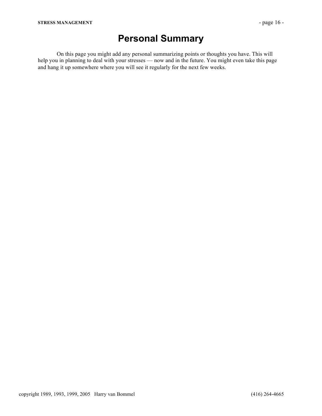## **Personal Summary**

On this page you might add any personal summarizing points or thoughts you have. This will help you in planning to deal with your stresses — now and in the future. You might even take this page and hang it up somewhere where you will see it regularly for the next few weeks.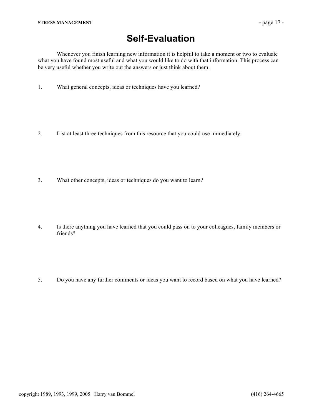## **Self-Evaluation**

Whenever you finish learning new information it is helpful to take a moment or two to evaluate what you have found most useful and what you would like to do with that information. This process can be very useful whether you write out the answers or just think about them.

- 1. What general concepts, ideas or techniques have you learned?
- 2. List at least three techniques from this resource that you could use immediately.
- 3. What other concepts, ideas or techniques do you want to learn?
- 4. Is there anything you have learned that you could pass on to your colleagues, family members or friends?
- 5. Do you have any further comments or ideas you want to record based on what you have learned?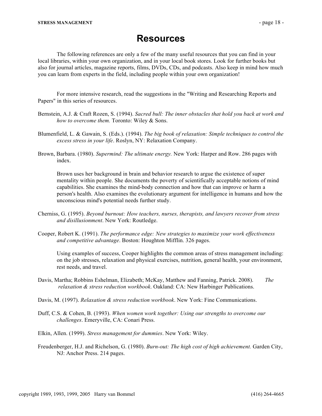#### **Resources**

The following references are only a few of the many useful resources that you can find in your local libraries, within your own organization, and in your local book stores. Look for further books but also for journal articles, magazine reports, films, DVDs, CDs, and podcasts. Also keep in mind how much you can learn from experts in the field, including people within your own organization!

For more intensive research, read the suggestions in the "Writing and Researching Reports and Papers" in this series of resources.

- Bernstein, A.J. & Craft Rozen, S. (1994). *Sacred bull: The inner obstacles that hold you back at work and how to overcome them.* Toronto: Wiley & Sons.
- Blumenfield, L. & Gawain, S. (Eds.). (1994). *The big book of relaxation: Simple techniques to control the excess stress in your life*. Roslyn, NY: Relaxation Company.
- Brown, Barbara. (1980). *Supermind: The ultimate energy.* New York: Harper and Row. 286 pages with index.

Brown uses her background in brain and behavior research to argue the existence of super mentality within people. She documents the poverty of scientifically acceptable notions of mind capabilities. She examines the mind-body connection and how that can improve or harm a person's health. Also examines the evolutionary argument for intelligence in humans and how the unconscious mind's potential needs further study.

- Cherniss, G. (1995). *Beyond burnout: How teachers, nurses, therapists, and lawyers recover from stress and disillusionment*. New York: Routledge.
- Cooper, Robert K. (1991). *The performance edge: New strategies to maximize your work effectiveness and competitive advantage*. Boston: Houghton Mifflin. 326 pages.

Using examples of success, Cooper highlights the common areas of stress management including: on the job stresses, relaxation and physical exercises, nutrition, general health, your environment, rest needs, and travel.

- Davis, Martha; Robbins Eshelman, Elizabeth; McKay, Matthew and Fanning, Patrick. 2008). *The relaxation & stress reduction workbook*. Oakland: CA: New Harbinger Publications.
- Davis, M. (1997). *Relaxation & stress reduction workbook*. New York: Fine Communications.
- Duff, C.S. & Cohen, B. (1993). *When women work together: Using our strengths to overcome our challenges*. Emeryville, CA: Conari Press.
- Elkin, Allen. (1999). *Stress management for dummies*. New York: Wiley.
- Freudenberger, H.J. and Richelson, G. (1980). *Burn-out: The high cost of high achievement.* Garden City, NJ: Anchor Press. 214 pages.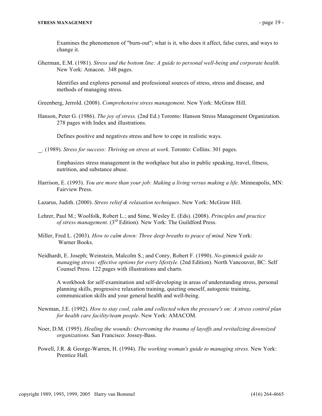Examines the phenomenon of "burn-out"; what is it, who does it affect, false cures, and ways to change it.

Gherman, E.M. (1981). *Stress and the bottom line: A guide to personal well-being and corporate health.* New York: Amacon. 348 pages.

Identifies and explores personal and professional sources of stress, stress and disease, and methods of managing stress.

Greenberg, Jerrold. (2008). *Comprehensive stress management*. New York: McGraw Hill.

Hanson, Peter G. (1986). *The joy of stress.* (2nd Ed.) Toronto: Hanson Stress Management Organization. 278 pages with Index and illustrations.

Defines positive and negatives stress and how to cope in realistic ways.

. (1989). *Stress for success: Thriving on stress at work*. Toronto: Collins. 301 pages.

Emphasizes stress management in the workplace but also in public speaking, travel, fitness, nutrition, and substance abuse.

- Harrison, E. (1993). *You are more than your job: Making a living versus making a life*. Minneapolis, MN: Fairview Press.
- Lazarus, Judith. (2000). *Stress relief & relaxation techniques*. New York: McGraw Hill.
- Lehrer, Paul M.; Woolfolk, Robert L.; and Sime, Wesley E. (Eds). (2008). *Principles and practice of stress management*. (3rd Edition). New York: The Guildford Press.
- Miller, Fred L. (2003). *How to calm down: Three deep breaths to peace of mind.* New York: Warner Books.
- Neidhardt, E. Joseph; Weinstein, Malcolm S.; and Conry, Robert F. (1990). *No-gimmick guide to managing stress: effective options for every lifestyle.* (2nd Edition). North Vancouver, BC: Self Counsel Press. 122 pages with illustrations and charts.

A workbook for self-examination and self-developing in areas of understanding stress, personal planning skills, progressive relaxation training, quieting oneself, autogenic training, communication skills and your general health and well-being.

- Newman, J.E. (1992). *How to stay cool, calm and collected when the pressure's on: A stress control plan for health care facility/team people*. New York: AMACOM.
- Noer, D.M. (1995). *Healing the wounds: Overcoming the trauma of layoffs and revitalizing downsized organizations.* San Francisco: Jossey-Bass.
- Powell, J.R. & George-Warren, H. (1994). *The working woman's guide to managing stress.* New York: Prentice Hall.